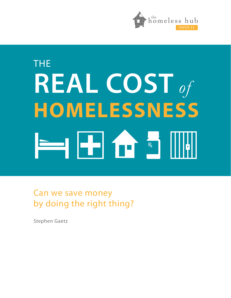

# THE **REAL COST** *of* **HOMELESSNESS +**

Can we save money by doing the right thing?

Stephen Gaetz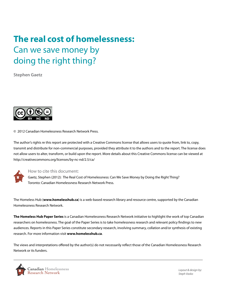# **The real cost of homelessness:**  Can we save money by doing the right thing?

**Stephen Gaetz**



© 2012 Canadian Homelessness Research Network Press.

The author's rights re this report are protected with a Creative Commons license that allows users to quote from, link to, copy, transmit and distribute for non-commercial purposes, provided they attribute it to the authors and to the report. The license does not allow users to alter, transform, or build upon the report. More details about this Creative Commons license can be viewed at not allow asers to arter, mansionin, or balla apont the research interest.



#### How to cite this document:

Gaetz, Stephen (2012): The Real Cost of Homelessness: Can We Save Money by Doing the Right Thing? Toronto: Canadian Homelessness Research Network Press. Gaelz, Stephen (2012

The Homeless Hub (**www.homelesshub.ca**) is a web-based research library and resource centre, supported by the Canadian Homelessness Research Network.

**The Homeless Hub Paper Series** is a Canadian Homelessness Research Network initiative to highlight the work of top Canadian researchers on homelessness. The goal of the Paper Series is to take homelessness research and relevant policy findings to new audiences. Reports in this Paper Series constitute secondary research, involving summary, collation and/or synthesis of existing research. For more information visit **www.homelesshub.ca**.

The views and interpretations offered by the author(s) do not necessarily reflect those of the Canadian Homelessness Research Network or its funders.



*Layout & design by: Steph Vasko*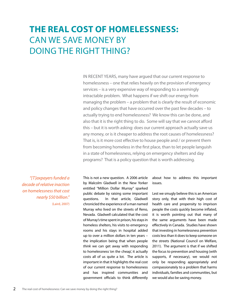# **The real cost of homelessness:**  Can we save money by doing the right thing?

IN RECENT YEARS, many have argued that our current response to homelessness – one that relies heavily on the provision of emergency services – is a very expensive way of responding to a seemingly intractable problem. What happens if we shift our energy from managing the problem – a problem that is clearly the result of economic and policy changes that have occurred over the past few decades – to actually trying to end homelessness? We know this can be done, and also that it is the right thing to do. Some will say that we cannot afford this – but it is worth asking: does our current approach actually save us any money, or is it cheaper to address the root causes of homelessness? That is, is it more cost effective to house people and / or prevent them from becoming homeless in the first place, than to let people languish in a state of homelessness, relying on emergency shelters and day programs? That is a policy question that is worth addressing.

*"[T]axpayers funded a decade of relative inaction on homelessness that cost nearly \$50 billion."*  (Laird, 2007) This is not a new question. A 2006 article by Malcolm Gladwell in the New Yorker entitled "Million Dollar Murray" sparked public debate by raising some important questions. In that article, Gladwell chronicled the experience of a man named Murray who lived on the streets of Reno, Nevada. Gladwell calculated that the cost of Murray's time spent in prison, his stays in homeless shelters, his visits to emergency rooms and his stays in hospital added up to over a million dollars in ten years – the implication being that when people *think* we can get away with responding to homelessness 'on the cheap', it actually costs all of us quite a lot. The article is important in that it highlights the real cost of our current response to homelessness and has inspired communities and government officials to think differently

about how to address this important issues.

Lest we smugly believe this is an American story only, that with their high cost of health care and propensity to imprison people the costs quickly become inflated, it is worth pointing out that many of the same arguments have been made effectively in Canada. Studies have shown that investing in homelessness prevention costs less than it does to keep someone on the streets (National Council on Welfare, 2011). The argument is that if we shifted the focus to prevention and housing (with supports, if necessary), we would not only be responding appropriately and compassionately to a problem that harms individuals, families and communities, but we would also be saving money.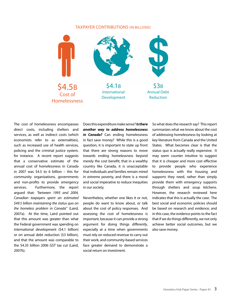#### TAXPAYER CONTRIBUTIONS (IN BILLIONS)



The cost of homelessness encompasses direct costs, including shelters and services, as well as indirect costs (which economists refer to as externalities), such as increased use of health services, policing and the criminal justice system, for instance. A recent report suggests that a conservative estimate of the annual cost of homelessness in Canada in 2007 was \$4.5 to 6 billion – this for community organizations, governments and non-profits to provide emergency services. Furthermore, the report argued that: *"between 1993 and 2004, Canadian taxpayers spent an estimated \$49.5 billion maintaining the status quo on the homeless problem in Canada"* (Laird, 2007a). At the time, Laird pointed out that this amount was greater than what the Federal government was spending on international development (\$4.1 billion) or on annual debt reduction (\$3 billion), and that the amount was comparable to the \$4.35 billion 2006 GST tax cut (Laird, 2007b).

Does this expenditure make sense? *Is there another way to address homelessness*  in **Canada?** Can ending homelessness in fact save money? While this is a good question, it is important to state up front that there are strong reasons to move towards ending homelessness beyond merely the cost benefit; that in a wealthy country like Canada, it is unacceptable that individuals and families remain mired in extreme poverty, and there is a moral and social imperative to reduce inequities in our society.

Nevertheless, whether one likes it or not, people do want to know about, or talk about the cost of policy responses. And assessing the cost of homelessness is important, because it can provide a strong argument for doing things *differently*, especially at a time when governments must rely on reduced revenue to carry out their work, and community-based services face greater demand to demonstrate a social return on investment.

So what does the research say? This report summarizes what we know about the cost of addressing homelessness by looking at key literature from Canada and the United States. What becomes clear is that the status quo is actually really expensive. It may seem counter intuitive to suggest that it is cheaper and more cost effective to provide people who experience homelessness with the housing and supports they need, rather than simply provide them with emergency supports through shelters and soup kitchens. However, the research reviewed here indicates that this is actually the case. The best social and economic policies should be based on research and evidence, and in this case, the evidence points to the fact that if we do things differently, we not only achieve better social outcomes, but we also save money.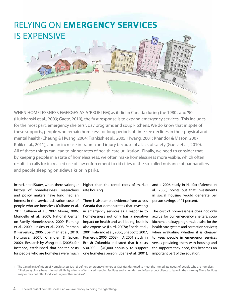## Relying on **emergency services** is expensive



When homelessness emerges as a 'problem', as it did in Canada during the 1980s and '90s (Hulchanski et al., 2009; Gaetz, 2010), the first response is to expand emergency services. This includes, for the most part, emergency shelters<sup>1</sup>, day programs and soup kitchens. We do know that in spite of these supports, people who remain homeless for long periods of time see declines in their physical and mental health (Cheung & Hwang, 2004; Frankish et al., 2005; Hwang, 2001; Khandor & Mason, 2007; Kulik et al., 2011), and an increase in trauma and injury because of a lack of safety (Gaetz et al., 2010). All of these things can lead to higher rates of health care utilization. Finally, we need to consider that by keeping people in a state of homelessness, we often make homelessness more visible, which often results in calls for increased use of law enforcement to rid cities of the so-called nuisance of panhandlers and people sleeping on sidewalks or in parks.

In the United States, where there is a longer history of homelessness, researchers and policy makers have long had an interest in the service utilization costs of people who are homeless (Culhane et al, 2011; Culhane et al., 2007; Moore, 2006; Mondello et al., 2009; National Center on Family Homelessness, 2009; Flaming et al., 2009; Linkins et al., 2008; Perlman & Parvensky, 2006; Spellman et al., 2010; Holtgrave, 2007; Chandler & Spicer, 2002). Research by Wong et al. (2005), for instance, established that shelter costs for people who are homeless were much

higher than the rental costs of market rate housing.

There is also ample evidence from across Canada that demonstrates that investing in emergency services as a response to homelessness not only has a negative impact on health and well-being, but it is also expensive (Laird, 2007a; Eberle et al., 2001; Palermo et al., 2006; Shapcott, 2007; Pomeroy, 2005; 2008). A 2001 study in British Columbia indicated that it costs \$30,000 - \$40,000 annually to support one homeless person (Eberle et al., 2001), and a 2006 study in Halifax (Palermo et al., 2006) points out that investments in social housing would generate per person savings of 41 percent.

The cost of homelessness does not only accrue for our emergency shelters, soup kitchens and day programs, but also for the health care system and correction services; when evaluating whether it is cheaper to keep people in emergency services versus providing them with housing and the supports they need, this becomes an important part of the equation.

**<sup>1</sup>** The Canadian Definition of Homelessness (2012) defines emergency shelters as 'facilities designed to meet the immediate needs of people who are homeless: "Shelters typically have minimal eligibility criteria, offer shared sleeping facilities and amenities, and often expect clients to leave in the morning. These facilities may or may not offer food, clothing or other services."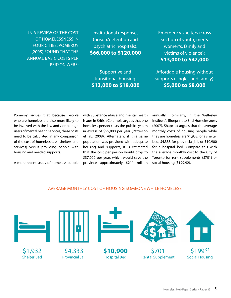In a review of the cost of homelessness in four cities, Pomeroy (2005) found that the annual basic costs per person were:

Institutional responses (prison/detention and psychiatric hospitals): **\$66,000 to \$120,000** 

Supportive and transitional housing: **\$13,000 to \$18,000** Emergency shelters (cross section of youth, men's women's, family and victims of violence): **\$13,000 to \$42,000**

Affordable housing without supports (singles and family): **\$5,000 to \$8,000**

Pomeroy argues that because people who are homeless are also more likely to be involved with the law and / or be high users of mental health services, these costs need to be calculated in any comparison of the cost of homelessness (shelters and services) versus providing people with housing and needed supports.

A more recent study of homeless people

with substance abuse and mental health issues in British Columbia argues that one homeless person costs the public system in excess of \$55,000 per year (Patterson et al., 2008). Alternately, if this same population was provided with adequate housing and supports, it is estimated that the cost per person would drop to \$37,000 per year, which would save the province approximately \$211 million

annually. Similarly, in the Wellesley Institute's Blueprint to End Homelessness (2007), Shapcott argues that the average monthly costs of housing people while they are homeless are \$1,932 for a shelter bed, \$4,333 for provincial jail, or \$10,900 for a hospital bed. Compare this with the average monthly cost to the City of Toronto for rent supplements (\$701) or social housing (\$199.92).

#### Average monthly cost of housing someone while homeless

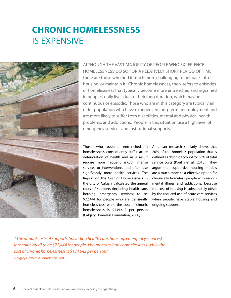# **Chronic homelessness** is expensive



Although the vast majority of people who experience homelessness do so for a relatively short period of time, there are those who find it much more challenging to get back into housing, or maintain it. Chronic homelessness, then, refers to episodes of homelessness that typically become more entrenched and ingrained in people's daily lives due to their long duration, which may be continuous or episodic. Those who are in this category are typically an older population who have experienced long‐term unemployment and are more likely to suffer from disabilities, mental and physical health problems, and addictions. People in this situation use a high level of emergency services and institutional supports.

Those who become entrenched in homelessness consequently suffer acute deterioration of health and as a result require more frequent and/or intense services or interventions, and often use significantly more health services. The Report on the Cost of Homelessness in the City of Calgary calculated the annual costs of supports (including health care, housing, emergency services) to be \$72,444 for people who are transiently homelessness, while the cost of chronic homelessness is \$134,642 per person (Calgary Homeless Foundation, 2008).

American research similarly shows that 20% of the homeless population that is defined as chronic account for 60% of total service costs (Poulin et al., 2010). They argue that supportive housing models are a much more cost effective option for chronically homeless people with serious mental illness and addictions, because the cost of housing is substantially offset by the reduced use of acute care services when people have stable housing and ongoing support.

 *"The annual costs of supports (including health care, housing, emergency services)*  [are caluclated] to be \$72,444 for people who are transiently homelessness, while the *cost of chronic homelessness is \$134,642 per person."* 

(Calgary Homeless Foundation, 2008)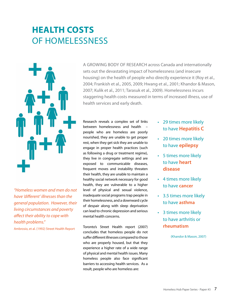# **Health costs** of homelessness



*"Homeless women and men do not have 'different' illnesses than the general population. However, their living circumstances and poverty affect their ability to cope with health problems."*

Ambrosio, et al. (1992) Street Health Report

A GROWING BODY OF RESEARCH across Canada and internationally sets out the devastating impact of homelessness (and insecure housing) on the health of people who directly experience it (Roy et aI., 2004; Frankish et al., 2005, 2009; Hwang et aI., 2001; Khandor & Mason, 2007; Kulik et al., 2011; Tarasuk et al., 2009). Homelessness incurs staggering health costs measured in terms of increased illness, use of health services and early death.

Research reveals a complex set of links between homelessness and health people who are homeless are poorly nourished, they are unable to get proper rest, when they get sick they are unable to engage in proper health practices (such as following a drug or treatment regime), they live in congregate settings and are exposed to communicable diseases, frequent moves and instability threaten their health, they are unable to maintain a healthy social network necessary for good health, they are vulnerable to a higher level of physical and sexual violence, inadequate social programs trap people in their homelessness, and a downward cycle of despair along with sleep deprivation can lead to chronic depression and serious mental health concerns.

Toronto's Street Health report (2007) concludes that homeless people do not suffer different illnesses compared to those who are properly housed, but that they experience a higher rate of a wide range of physical and mental health issues. Many homeless people also face significant barriers to accessing health services. As a result, people who are homeless are:

- • 29 times more likely to have **Hepatitis C**
- • 20 times more likely to have **epilepsy**
- • 5 times more likely to have **heart disease**
- • 4 times more likely to have **cancer**
- • 3.5 times more likely to have **asthma**
- • 3 times more likely to have arthritis or **rheumatism**

(Khandor & Mason, 2007)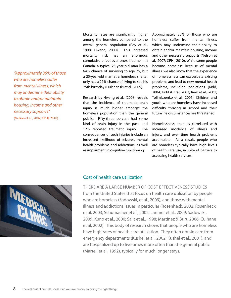*"Approximately 30% of those who are homeless suffer from mental illness, which may undermine their ability to obtain and/or maintain housing, income and other necessary supports"*  (Nelson et aI., 2007; CPHI, 2010)

Mortality rates are significantly higher among the homeless compared to the overall general population (Roy et al., 1998; Hwang, 2000). This increased mortality risk has an enormous cumulative effect over one's lifetime – in Canada, a typical 25‐year‐old man has a 64% chance of surviving to age 75, but a 25‐year‐old man at a homeless shelter only has a 27% chance of living to see his 75th birthday (Hulchanski et al., 2009).

Research by Hwang et al., (2008) reveals that the incidence of traumatic brain injury is much higher amongst the homeless population than the general public. Fifty-three percent had some kind of brain injury in the past, and 12% reported traumatic injury. The consequences of such injuries include an increased likelihood of seizures, mental health problems and addictions, as well as impairment in cognitive functioning.

Approximately 30% of those who are homeless suffer from mental illness, which may undermine their ability to obtain and/or maintain housing, income and other necessary supports (Nelson et aI., 2007; CPHI, 2010). While some people become homeless because of mental illness, we also know that the experience of homelessness can exacerbate existing problems and lead to new mental health problems, including addictions (Kidd, 2004; Kidd & Kral, 2002; Rew et al., 2001; Tolimiczenko et al., 2001). Children and youth who are homeless have increased difficulty thriving in school and their future life circumstances are threatened.

Homelessness, then, is correlated with increased incidence of illness and injury, and over time health problems accumulate. As a result, people who are homeless typically have high levels of health care use, in spite of barriers to accessing health services.

# MED

#### Cost of health care utilization

There are a large number of cost effectiveness studies from the United States that focus on health care utilization by people who are homeless (Sadowski, et al., 2009), and those with mental illness and addictions issues in particular (Rosenheck, 2002; Rosenheck et al, 2003; Schumacher et al., 2002; Larimer et al., 2009; Sadowski, 2009; Kuno et al., 2000; Salit et al., 1998; Martinez & Burt, 2006; Culhane et al, 2002). This body of research shows that people who are homeless have high rates of health care utilization. They often obtain care from emergency departments (Kushel et al., 2002; Kushel et al., 2001), and are hospitalized up to five times more often than the general public (Martell et al., 1992), typically for much longer stays.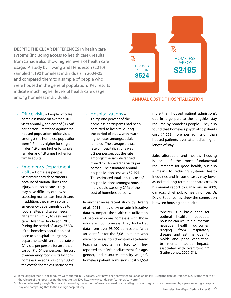DESPITE THE CLEAR DIFFERENCES in health care systems (including access to health care), results from Canada also show higher levels of health care usage. A study by Hwang and Henderson (2010) sampled 1,190 homeless individuals in 2004-05, and compared them to a sample of people who were housed in the general population. Key results indicate much higher levels of health care usage among homeless individuals:



#### Annual cost of hospitalization

- Office visits People who are homeless made on average 10.1 visits annually, at a cost of \$1,850 $^2$ per person. Matched against the housed population, office visits amongst the homeless population were 1.7 times higher for single males, 1.9 times higher for single females and 1.8 times higher for family adults.
- Emergency Department visits – Homeless people visit emergency departments because of trauma, illness and injury, but also because they may have difficulty otherwise accessing mainstream health care. In addition, they may also visit emergency departments due to food, shelter, and safety needs, rather than simply to seek health care (Hwang & Henderson, 2010). During the period of study, 77.3% of the homeless population had been to a hospital emergency department, with an annual rate of 2.1 visits per person, for an annual cost of \$1,464 per person. The cost of emergency room visits by nonhomeless persons was only 13% of the cost for homeless participants.

#### • Hospitalizations –

Thirty-one percent of the homeless participants had been admitted to hospital during the period of study, with much higher rates amongst adult females. The average annual rate of hospitalizations was 0.2 per person, but the rate amongst the sample ranged from 0 to 14.9 average visits per person. The estimated annual hospitalization cost was \$2,495. The estimated total annual cost of hospitalizations amongst housed individuals was only 21% of the cost of homeless persons.

In another more recent study by Hwang et al. (2011), they drew on administrative data to compare the health care utilization of people who are homeless with those who are not homeless. They looked at data from over 93,000 admissions (with an identifier for the 3,081 patients who were homeless) to a downtown academic teaching hospital in Toronto. They reported that "After adjustment for age, gender, and resource intensity weight<sup>3</sup>, homeless patient admissions cost \$2,559

more than housed patient admissions", due in large part to the lengthier stay required by homeless people. They also found that homeless psychiatric patients cost \$1,058 more per admission than housed patients, even after adjusting for length of stay.

Safe, affordable and healthy housing is one of the most fundamental requirements for good health, but also a means to reducing systemic health inequities and in some cases may lower associated long-term healthcare costs. In his annual report to Canadians in 2009, Canada's chief public health officer, Dr. David Butler-Jones, drew the connection between housing and health:

> "Shelter is a basic need for optimal health. Inadequate housing can result in numerous negative health outcomes, ranging from respiratory disease and asthma due to molds and poor ventilation, to mental health impacts associated with overcrowding" (Butler-Jones, 2009: 31).

**<sup>2</sup>** In the original report, dollar figures were quoted in US dollars. Cost have been converted to Canadian dollars, using the date of October 4, 2010 (the month of the release of the report, using the website: OANDA http://www.oanda.com/currency/converter/

**<sup>3</sup>** "Resource intensity weight" is a way of measuring the amount of resources used (such as diagnostic or surgical procedures) used by a person during a hospital stay, and comparing that to the average hospital stay.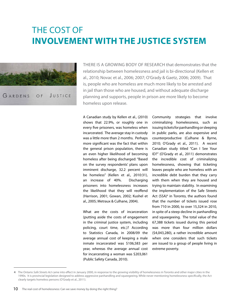# The Cost of **Involvement with the Justice System**



There is a growing body of research that demonstrates that the relationship between homelessness and jail is bi-directional (Kellen et al., 2010; Novac et al., 2006; 2007; O'Grady & Gaetz, 2006; 2009). That is, people who are homeless are much more likely to be arrested and in jail than those who are housed, and without adequate discharge planning and supports, people in prison are more likely to become homeless upon release.

A Canadian study by Kellen et al., (2010) shows that 22.9%, or roughly one in every five prisoners, was homeless when incarcerated. The average stay in custody was a little more than 2 months. Perhaps more significant was the fact that within the general prison population, there is an even higher likelihood of becoming homeless after being discharged: "Based on the survey respondents' plans upon imminent discharge, 32.2 percent will be homeless" (Kellen et al., 2010:31), an increase of 40%. Discharging prisoners into homelessness increases the likelihood that they will reoffend (Harrison, 2001; Gowan, 2002; Kushel et al., 2005; Metraux & Culhane, 2004).

What are the costs of incarceration (putting aside the costs of engagement in the criminal justice system, including policing, court time, etc.)? According to Statistics Canada, in 2008/09 the average annual cost of keeping a male inmate incarcerated was \$106,583 per year, whereas the average annual cost for incarcerating a woman was \$203,061 (Public Safety Canada, 2010).

Community strategies that involve criminalizing homelessness, such as issuing tickets for panhandling or sleeping in public parks, are also expensive and counterproductive (Culhane & Byrne, 2010; O'Grady et al., 2011). A recent Canadian study titled "Can I See Your ID?" (O'Grady et al., 2011) demonstrates the incredible cost of criminalizing homelessness, showing that ticketing leaves people who are homeless with an incredible debt burden that they carry with them when they are housed and trying to maintain stability. In examining the implementation of the Safe Streets Act (SSA)<sup>4</sup> in Toronto, the authors found that the number of tickets issued rose from 710 in 2000, to over 15,324 in 2010, in spite of a steep decline in panhandling and squeegeeing. The total value of the 67,388 tickets issued during this period was more than four million dollars (\$4,043,280), a rather incredible amount when one considers that such tickets are issued to a group of people living in extreme poverty.

**<sup>4</sup>** The Ontario *Safe Streets Act* came into effect in January 2000, in response to the growing visibility of homelessness in Toronto and other major cities in the 1990s. It is provincial legislation designed to address aggressive panhandling and squeegeeing. While never mentioning homelessness specifically, the Act clearly targets homeless persons (O'Grady et al., 2011).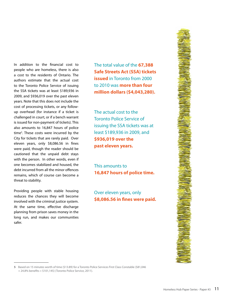In addition to the financial cost to people who are homeless, there is also a cost to the residents of Ontario. The authors estimate that the actual cost to the Toronto Police Service of issuing the SSA tickets was at least \$189,936 in 2009, and \$936,019 over the past eleven years. Note that this does not include the cost of processing tickets, or any followup overhead (for instance if a ticket is challenged in court, or if a bench warrant is issued for non-payment of tickets). This also amounts to 16,847 hours of police time<sup>5</sup>. These costs were incurred by the City for tickets that are rarely paid. Over eleven years, only \$8,086.56 in fines were paid, though the reader should be cautioned that the unpaid debt stays with the person. In other words, even if one becomes stabilized and housed, the debt incurred from all the minor offences remains, which of course can become a threat to stability.

Providing people with stable housing reduces the chances they will become involved with the criminal justice system. At the same time, effective discharge planning from prison saves money in the long run, and makes our communities safer.

The total value of the **67,388 Safe Streets Act (SSA) tickets issued** in Toronto from 2000 to 2010 was **more than four million dollars (\$4,043,280).**

The actual cost to the Toronto Police Service of issuing the SSA tickets was at least \$189,936 in 2009, and **\$936,019 over the past eleven years.**

This amounts to **16,847 hours of police time.**

Over eleven years, only **\$8,086.56 in fines were paid.**



**<sup>5</sup>** Based on 15 minutes worth of time (\$13.89) for a Toronto Police Services First Class Constable (\$81,046 + 24.8% benefits = \$101,145) (Toronto Police Service, 2011).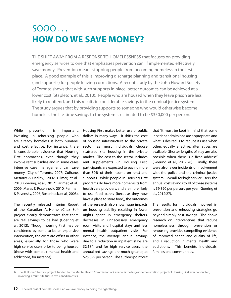# Sooo . . . **How do we save money?**

The shift away from a response to homelessness that focuses on providing emergency services to one that emphasizes prevention can, if implemented effectively, save money. Prevention means stopping people from becoming homeless in the first place. A good example of this is improving discharge planning and transitional housing (and supports) for people leaving corrections. A recent study by the John Howard Society of Toronto shows that with such supports in place, better outcomes can be achieved at a lower cost (Stapleton, et al., 2010). People who are housed when they leave prison are less likely to reoffend, and this results in considerable savings to the criminal justice system. The study argues that by providing supports to someone who would otherwise become homeless the life-time savings to the system is estimated to be \$350,000 per person.

While prevention is important, investing in rehousing people who are already homeless is both humane, and cost effective. For instance, there is considerable evidence that Housing First approaches, even though they involve rent subsidies and in some cases intensive case management, can save money (City of Toronto, 2007; Culhane, Metraux & Hadley, 2002; Gilmer, et al., 2010; Goering, et al., 2012; Larimer, et al., 2009; Mares & Rosenheck, 2010; Perlman & Pavensky, 2006; Rosenheck, et al., 2003).

The recently released Interim Report of the Canadian At-Home /Chez Soi<sup>6</sup> project clearly demonstrates that there are real savings to be had (Goering et al., 2012). Though housing First may be considered by some to be an expensive intervention, the costs are offset in other areas, especially for those who were high service users prior to being housed (those with complex mental health and addictions, for instance).

Housing First makes better use of public dollars in many ways. It shifts the cost of housing infrastructure to the private sector, as most individuals choose scattered site housing in the private market. The cost to the sector includes rent supplements (in Housing First, participants are expected to pay no more than 30% of their income on rent) and supports. While people in Housing First programs do have more home visits from health care providers, and are more likely to use food banks (because they now have a place to store food), the outcomes of the research also show huge impacts on housing stability resulting in fewer nights spent in emergency shelters, decreases in unnecessary emergency room visits and hospital stays and less mental health outpatient visits. For instance, the average annual savings due to a reduction in inpatient stays are \$2,184, and for high service users, the annualized savings are much greater, at \$25,899 per person. The authors point out that "It must be kept in mind that some inpatient admissions are appropriate and what is desired is to reduce its use when other, equally effective, alternatives are available. Shorter lengths of stay are also possible when there is a fixed address" (Goering et al., 2012:28). Finally, there were also fewer incidents of involvement with the police and the criminal justice system. Overall, for high service users, the annual cost savings to all of these systems is \$9,390 per person, per year (Goering et al., 2012:27).

The results for individuals involved in prevention and rehousing strategies go beyond simply cost savings. The above research on interventions that reduce homelessness through prevention or rehousing provides compelling evidence of improved health and quality of life, and a reduction in mental health and addictions. This benefits individuals, families and communities.

**<sup>6</sup>** The At Home/Chez Soi project, funded by the Mental Health Commission of Canada, is the largest demonstration project of Housing First ever conducted, involving a multi-site trial in five Canadian cities.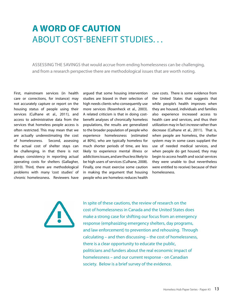# **A word of caution**  ABOUT COST-BENEFIT STUDIES...

Assessing the savings that would accrue from ending homelessness can be challenging, and from a research perspective there are methodological issues that are worth noting.

First, mainstream services (in health care or corrections, for instance) may not accurately capture or report on the housing status of people using their services (Culhane et al., 2011), and access to administrative data from the services that homeless people access is often restricted. This may mean that we are actually underestimating the cost of homelessness. Second, assessing the actual cost of shelter stays can be challenging, in that there is not always consistency in reporting actual operating costs for shelters (Gallagher, 2010). Third, there are methodological problems with many 'cost studies' of chronic homelessness. Reviewers have

argued that some housing intervention studies are biased in their selection of high needs clients who consequently use more services (Rosenheck et al., 2003). A related criticism is that in doing costbenefit analyses of chronically homeless populations, the results are generalized to the broader population of people who experience homelessness (estimated at 80%), who are typically homeless for much shorter periods of time, are less likely to experience mental illness or addictions issues, and are thus less likely to be high users of services (Culhane, 2008). Finally, one must exercise some caution in making the argument that housing people who are homeless reduces health care costs. There is some evidence from the United States that suggests that while people's health improves when they are housed, individuals and families also experience increased access to health care and services, and thus their utilization may in fact *increase* rather than decrease (Culhane et al., 2011). That is, when people are homeless, the shelter system may in some cases supplant the use of needed medical services, and when people do get housed, they may begin to access health and social services they were unable to (but nevertheless were entitled to receive) because of their homelessness.



In spite of these cautions, the review of research on the cost of homelessness in Canada and the United States does make a strong case for shifting our focus from an emergency response (emphasizing emergency shelters, day programs, and law enforcement) to prevention and rehousing. Through calculating – and then discussing – the cost of homelessness, there is a clear opportunity to educate the public, politicians and funders about the real economic impact of homelessness – and our current response - on Canadian society. Below is a brief survey of the evidence.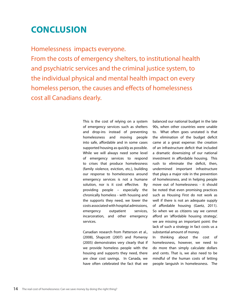# **Conclusion**

Homelessness impacts everyone.

From the costs of emergency shelters, to institutional health and psychiatric services and the criminal justice system, to the individual physical and mental health impact on every homeless person, the causes and effects of homelessness cost all Canadians dearly.

> This is the cost of relying on a system of emergency services such as shelters and drop-ins instead of preventing homelessness and moving people into safe, affordable and in some cases supported housing as quickly as possible. While we will always need some level of emergency services to respond to crises that produce homelessness (family violence, eviction, etc.), building our response to homelessness around emergency services is not a humane solution, nor is it cost effective. By providing people – especially the chronically homeless - with housing and the supports they need, we lower the costs associated with hospital admissions, emergency outpatient services, incarceration, and other emergency services.

Canadian research from Patterson et al., (2008), Shapcott (2007) and Pomeroy (2005) demonstrates very clearly that if we provide homeless people with the housing and supports they need, there are clear cost savings. In Canada, we have often celebrated the fact that we

balanced our national budget in the late 90s, when other countries were unable to. What often goes unstated is that the elimination of the budget deficit came at a great expense: the creation of an infrastructure deficit that included a dramatic downsizing of our national investment in affordable housing. This rush to eliminate the deficit, then, undermined important infrastructure that plays a major role in the prevention of homelessness, and in helping people move out of homelessness - it should be noted that even promising practices such as Housing First do not work as well if there is not an adequate supply of affordable housing (Gaetz, 2011). So when we as citizens say we cannot afford an 'affordable housing strategy', we are missing an important point: the lack of such a strategy in fact costs us a substantial amount of money.

In thinking about the cost of homelessness, however, we need to do more than simply calculate dollars and cents. That is, we also need to be mindful of the human costs of letting people languish in homelessness. The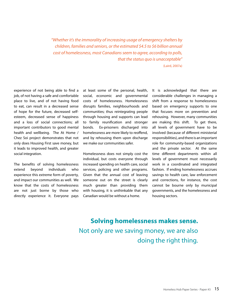*"Whether it's the immorality of increasing usage of emergency shelters by children, families and seniors, or the estimated \$4.5 to \$6 billion annual cost of homelessness, most Canadians seem to agree, according to polls, that the status quo is unacceptable"* 

(Laird, 2007a)

experience of not being able to find a job, of not having a safe and comfortable place to live, and of not having food to eat, can result in a decreased sense of hope for the future, decreased selfesteem, decreased sense of happiness and a loss of social connections; all important contributors to good mental health and wellbeing. The At Home / Chez Soi project demonstrates that not only does Housing First save money, but it leads to improved health, and greater social integration.

The benefits of solving homelessness extend beyond individuals who experience this extreme form of poverty, and impact our communities as well. We know that the costs of homelessness are not just borne by those who directly experience it. Everyone pays at least some of the personal, health, social, economic and governmental costs of homelessness. Homelessness disrupts families, neighbourhoods and communities; thus reintegrating people through housing and supports can lead to family reunification and stronger bonds. Ex-prisoners discharged into homelessness are more likely to reoffend, and by rehousing them upon discharge we make our communities safer.

Homelessness does not simply cost the individual, but costs everyone through increased spending on health care, social services, policing and other programs. Given that the annual cost of leaving someone out on the street is clearly much greater than providing them with housing, it is unthinkable that any Canadian would be without a home.

It is acknowledged that there are considerable challenges in managing a shift from a response to homelessness based on emergency supports to one that focuses more on prevention and rehousing. However, many communities are making this shift. To get there, all levels of government have to be involved (because of different ministerial responsibilities), and there is an important role for community-based organizations and the private sector. At the same time different departments within all levels of government must necessarily work in a coordinated and integrated fashion. If ending homelessness accrues savings to health care, law enforcement and corrections, for instance, the cost cannot be bourne only by municipal governments, and the homelessness and housing sectors.

### **Solving homelessness makes sense.**  Not only are we saving money, we are also doing the right thing.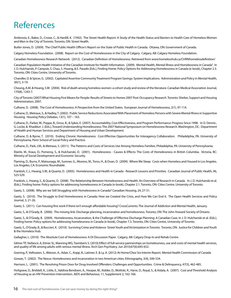# References

Ambrosio, E., Baker, D., Crowe, C., & Hardill, K. (1992). The Street Health Report: A Study of the Health Status and Barriers to Health Care of Homeless Women and Men in the City of Toronto. Toronto, ON: Street Health.

Butler-Jones, D. (2009). The Chief Public Health Officer's Report on the State of Public Health in Canada. Ottawa, ON: Government of Canada.

Calgary Homeless Foundation. (2008). Report on the Cost of Homelessness in the City of Calgary. Calgary, AB: Calgary Homeless Foundation.

Canadian Homelessness Research Network. (2012). Canadian Definition of Homelessness. Retrieved from www.homelesshub.ca/CHRNhomelessdefinition/

Canadian Population Health Initiative of the Canadian Institute for Health Information. (2009). Mental Health, Mental Illness and Homelessness in Canada". In J. D. Hulchanski, P. Campsie, S. Chau, S. Hwang, & E. Paradis (Eds.), Finding Home: Policy Options for Addressing Homelessness in Canada (e-book), Chapter 2.3. Toronto, ON: Cities Centre, University of Toronto.

Chandler, D. & Spicer, G. (2002). Capitated Assertive Community Treatment Program Savings: System Implications. Administration and Policy in Mental Health, 30(1), 3-19.

Cheung, A.M. & Hwang, S.W. (2004). Risk of death among homeless women: a cohort study and review of the literature. Canadian Medical Association Journal, 170(8), 1243-7.

City of Toronto (2007) What Housing First Means for People: Results of Streets to Homes 2007 Post-Occupancy Research. Toronto: Shelter, Support and Housing Administration; 2007.

Culhane, D. (2008). The Cost of Homelessness: A Perspective from the United States. European Journal of Homelessness, 2(1), 97-114.

Culhane, D., Metraux, S., & Hadley, T. (2002). Public Service Reductions Associated With Placement of Homeless Persons with Severe Mental Illness in Supportive Housing. Housing Policy Debates, 13(1), 107 – 163.

Culhane, D., Parker, W., Poppe, B., Gross, B., & Sykes, E. (2007). Accountability, Cost-Effectiveness, and Program Performance: Progress Since 1998. In D. Dennis , G. Locke, & Khadduri J. (Eds.), Toward Understanding Homelessness: The 2007 National Symposium on Homelessness Research. Washington, DC: Department of Health and Human Services and Department of Housing and Urban Development.

Culhane, D. & Byrne, T. (2010). Ending Chronic Homelessness: Cost-Effective Opportunities for Interagency Collaboration. Philadelphia, PA: University of Pennsylvania, Penn School of Social Policy and Practice.

Culhane, D., Park, J.M., & Metraux, S. (2011). The Patterns and Costs of Services Use Among Homeless Families. Philadelphia, PA: University of Pennsylvania.

Eberle, M., Kraus, D., Pomeroy, S., & Hulchanski, D. (2001). Homelessness - Causes & Effects: The Costs of Homelessness in British Columbia. Victoria, BC: Ministry of Social Development and Economic Security.

Flaming, D., Burns, P., Matsunaga, M., Sumner, G., Moreno, M., Toros, H., & Doan, D. (2009). Where We Sleep: Costs when Homeless and Housed in Los Angeles. Los Angeles, CA: Economic Roundtable.

Frankish, C.J., Hwang, S.W., & Quantz, D. (2005). Homelessness and Health in Canada - Research Lessons and Priorities. Canadian Journal of Public Health, 96, S23-S29.

Frankish, J., Hwang, S., & Quantz, D. (2008). The Relationship Between Homelessness and Health: An Overview of Research in Canada. In J. D. Hulchanski et al. (Eds.), Finding home: Policy options for addressing homelessness in Canada (e-book), Chapter 2.1. Toronto, ON: Cities Centre, University of Toronto.

Gaetz, S. (2008). Why are we Still Struggling with Homelessness in Canada? Canadian Housing, 24, 27-31.

Gaetz, S. (2010). The Struggle to End Homelessness in Canada: How we Created the Crisis, and How We Can End it. The Open Health Services and Policy Journal, 3, 21-26.

Gaetz, S. (2011). Can housing first work if there isn't enough affordable housing? CrossCurrents: The Journal of Addiction and Mental Health, January.

Gaetz, S., & O'Grady, B. (2006). The missing link: Discharge planning, incarceration and homelessness. Toronto, ON: The John Howard Society of Ontario.

Gaetz, S., & O'Grady, B. (2009). Homelessness, Incarceration, & the Challenge of Effective Discharge Planning: A Canadian Case. In J. D. Hulchanski et al. (Eds.), Finding home: Policy options for addressing homelessness in Canada (e-book), Chapter 7.3. Toronto, ON: Cities Centre, University of Toronto.

Gaetz, S., O'Grady, B., & Buccieri, K. (2010). Surviving Crime and Violence Street Youth and Victimization in Toronto. Toronto, ON: Justice for Children and Youth & the Homeless Hub.

Gallagher, L. (2010). The Absolute Cost of Homelessness: A DI Discussion Paper. Calgary, AB: Calgary Drop-In and Rehab Centre.

Gilmer TP, Stefancic A, Ettner SL, Manning WG, Tsemberis S. (2010) Effect of full-service partnerships on homelessness, use and costs of mental health services, and quality of life among adults with serious mental illness. Arch Gen Psychiatry. Jun 2010;67(6):645-652.

Goering, P., Velhuizen, S., Watson, A., Adair, C., Kopp, B., Latimer, E. & Ly, A. (2012) At Home/Chez Soi Interim Report. Mental Health Commission of Canada

Gowan, T. (2002). The Nexus: Homelessness and incarceration in two American cities. Ethnography, 3(4), 500‐534.

Harrison, L. (2001). The Revolving Prison Door for Drug‐Involved Offenders: Challenges and Opportunities. Crime & Delinquency, 47(3), 462‐485.

Holtgrave, D., Briddell, K., Little, E., Valdivia Bendixen, A., Hooper, M., Kidder, D., Wolitski, R., Harre, D., Royal, S., & Aidala, A. (2007). Cost and Threshold Analysis of Housing as an HIV Prevention Intervention. AIDS and Behaviour, 11, Supplement 2, 162-166.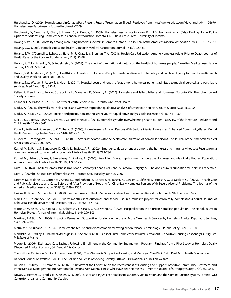Hulchanski, J. D. (2009). Homelessness in Canada: Past, Present, Future [Presentation Slides] . Retrieved from http://www.scribd.com/Hulchanski/d/14126679- Homelessness-Past-Present-Future-Hulchanski-2009

Hulchanski, D., Campsie, P., Chau, S., Hwang, S., & Paradis, E. (2009). Homelessness: What's in a Word? In: J.D. Hulchanski et al. (Eds.), Finding Home: Policy Options for Addressing Homelessness in Canada, Introduction. Toronto, ON: Cities Centre Press, University of Toronto.

Hwang, S. W. (2000). Mortality among men using homeless shelters in Toronto, Ontario. The Journal of the American Medical Association, 283(16), 2152‐2157.

Hwang, S.W. (2001). Homelessness and health. Canadian Medical Association Journal, 164(2), 229-33.

Hwang, S. W., O'Connell, J., Lebow, J., Bierer, M. F., Orav, E., & Brennan, T. A. (2001). Health Care Utilization Among Homeless Adults Prior to Death. Journal of Health Care for the Poor and Underserved, 12(1), 50-58.

Hwang, S., Tolomiczenko, G., & Redelmeier, D. (2008). The effect of traumatic brain injury on the health of homeless people. Canadian Medical Association Journal, 179(8), 779-784.

Hwang, S. & Henderson, M. (2010). Health Care Utilization in Homeless People: Translating Research into Policy and Practice. Agency for Healthcare Research and Quality, Working Paper No. 10002.

Hwang, S.W., Weaver, J., Aubry, T., & Hoch, S. (2011). Hospital costs and length of stay among homeless patients admitted to medical, surgical, and psychiatric services. Med Care, 49(4), 350-4.

Kellen, A., Freedman, J., Novac, S., Lapointe, L., Marranen, R., & Wong, A. (2010). Homeless and Jailed: Jailed and Homeless. Toronto, ON: The John Howard Society of Toronto.

Khandor, E. & Mason, K. (2007). The Street Health Report 2007. Toronto, ON: Street Health.

Kidd, S. A. (2004). The walls were closing in, and we were trapped: A qualitative analysis of street youth suicide. Youth & Society, 36(1), 30-55.

Kidd, S. A., & Kral, M. J. (2002). Suicide and prostitution among street youth: A qualitative analysis. Adolescence, 37(146), 411-430.

Kulik, D.M., Gaetz, S., Levy, A.S., Crowe, C., & Ford-Jones, E.L. (2011). Homeless youth's overwhelming health burden – a review of the literature. Pediatrics and Child Health, 16(6), 43-47.

Kuno, E., Rothbard, A., Averyt, J., & Culhane, D. (2000). Homelessness Among Persons With Serious Mental Illness in an Enhanced Community-Based Mental Health System. Psychiatric Services, 51(8), 1012 – 1016.

Kushel, M. B., Vittinghoff, E., & Haas, J. S. (2001). F actors associated with the health care utilization of homeless persons. The Journal of the American Medical Association, 285(2), 200‐206.

Kushel, M. B., Perry, S., Bangsberg, D., Clark, R., & Moss, A. R. (2002). Emergency department use among the homeless and marginally housed: Results from a community‐based study. American Journal of Public Health, 92(5), 778‐784.

Kushel, M., Hahn, J., Evans, J., Bangsberg, D., & Moss, A. (2005). Revolving Doors: Imprisonment among the Homeless and Marginally Housed Population. American Journal of Public Health, 95(10), 1747‐1752.

Laird, G. (2007a). Shelter : Homelessness in a Growth Economy: Canada's 21 Century Paradox. Calgary, AB: Sheldon Chumir Foundation for Ethics in Leadership.

Laird, G. (2007b) The true cost of homelessness. Toronto Star. Tuesday, June 26, 2007

Larimer, M., Malone, D., Garner, M., Atkins, D., Burlingham, B., Lonczak, H., Tanzer, K., Ginzler, J., Clifasefi, S., Hobson, W., & Marlatt, G. (2009). Health Care and Public Service Use and Costs Before and After Provision of Housing for Chronically Homeless Persons With Severe Alcohol Problems. The Journal of the American Medical Association, 301(13), 1349 – 1357.

Linkins, K., Brya, J., & Chandler, D. (2008). Frequent users of Health Services Initiative: Final Evaluation Report. Falls Church, VA: The Lewin Group.

Mares, A.S., Rosenheck, R.A. (2010) Twelve-month client outcomes and service use in a multisite project for chronically homelessness adults. Journal of Behavioral Health Services and Research. Apr 2010;37(2):167-183.

Martell, J. V., Seitz, R. S., Harada, J. K., Kobayashi, J., Sasaki, V. K., & Wong, C. (1992). Hospitalization in an urban homeless population: The Honolulu Urban Homeless Project. Annals of Internal Medicine, 116(4), 299‐303.

Martinez, T. & Burt, M. (2006). Impact of Permanent Supportive Housing on the Use of Acute Care Health Services by Homeless Adults. Psychiatric Services, 57(7), 992 – 999.

Metraux, S. & Culhane, D. (2004). Homeless shelter use and reincarceration following prison release. Criminology & Public Policy, 3(2):139‐160.

Mondello, M., Bradley, J., Chalmers McLaughlin, T., & Shore, N. (2009). Cost of Rural Homelessness: Rural Permanent Supportive Housing Cost Analysis. Augusta, ME: State of Maine.

Moore, T. (2006). Estimated Cost Savings Following Enrollment in the Community Engagement Program: Findings from a Pilot Study of Homeless Dually Diagnosed Adults. Portland, OR: Central City Concern.

The National Center on Family Homelessness. (2009). The Minnesota Supportive Housing and Managed Care Pilot. Saint Paul, MN: Hearth Connection.

National Council on Welfare. (2011). The Dollars and Sense of Solving Poverty. Ottawa, ON: National Council on Welfare.

Nelson, G., Aubrey, T., & Lafrance, A. (2007). A Review of the Literature on the Effectiveness of Housing and Support, Assertive Community Treatment, and Intensive Case Management Interventions for Persons With Mental Illness Who Have Been Homeless. American Journal of Orthopsychiatry, 77(3), 350-361.

Novac, S., Hermer, J., Paradis, E., & Kellen, A. (2006). Justice and Injustice: Homelessness, Crime, Victimization and the Criminal Justice System. Toronto, ON: Centre for Urban and Community Studies.